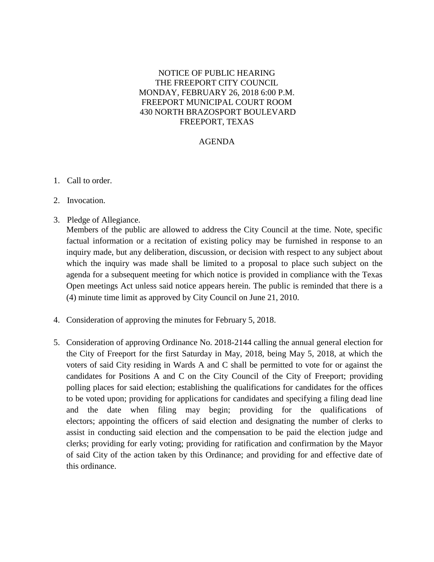## NOTICE OF PUBLIC HEARING THE FREEPORT CITY COUNCIL MONDAY, FEBRUARY 26, 2018 6:00 P.M. FREEPORT MUNICIPAL COURT ROOM 430 NORTH BRAZOSPORT BOULEVARD FREEPORT, TEXAS

## AGENDA

- 1. Call to order.
- 2. Invocation.
- 3. Pledge of Allegiance.

Members of the public are allowed to address the City Council at the time. Note, specific factual information or a recitation of existing policy may be furnished in response to an inquiry made, but any deliberation, discussion, or decision with respect to any subject about which the inquiry was made shall be limited to a proposal to place such subject on the agenda for a subsequent meeting for which notice is provided in compliance with the Texas Open meetings Act unless said notice appears herein. The public is reminded that there is a (4) minute time limit as approved by City Council on June 21, 2010.

- 4. Consideration of approving the minutes for February 5, 2018.
- 5. Consideration of approving Ordinance No. 2018-2144 calling the annual general election for the City of Freeport for the first Saturday in May, 2018, being May 5, 2018, at which the voters of said City residing in Wards A and C shall be permitted to vote for or against the candidates for Positions A and C on the City Council of the City of Freeport; providing polling places for said election; establishing the qualifications for candidates for the offices to be voted upon; providing for applications for candidates and specifying a filing dead line and the date when filing may begin; providing for the qualifications of electors; appointing the officers of said election and designating the number of clerks to assist in conducting said election and the compensation to be paid the election judge and clerks; providing for early voting; providing for ratification and confirmation by the Mayor of said City of the action taken by this Ordinance; and providing for and effective date of this ordinance.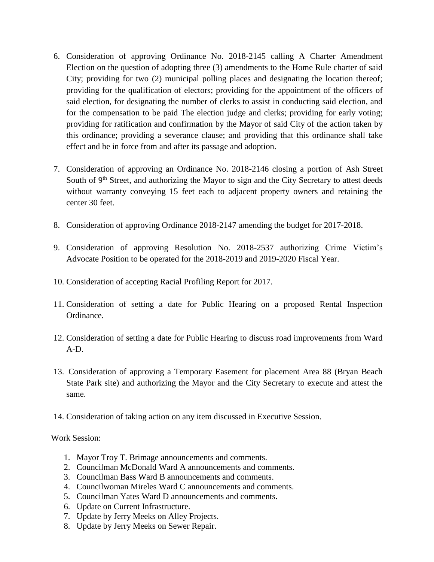- 6. Consideration of approving Ordinance No. 2018-2145 calling A Charter Amendment Election on the question of adopting three (3) amendments to the Home Rule charter of said City; providing for two (2) municipal polling places and designating the location thereof; providing for the qualification of electors; providing for the appointment of the officers of said election, for designating the number of clerks to assist in conducting said election, and for the compensation to be paid The election judge and clerks; providing for early voting; providing for ratification and confirmation by the Mayor of said City of the action taken by this ordinance; providing a severance clause; and providing that this ordinance shall take effect and be in force from and after its passage and adoption.
- 7. Consideration of approving an Ordinance No. 2018-2146 closing a portion of Ash Street South of 9<sup>th</sup> Street, and authorizing the Mayor to sign and the City Secretary to attest deeds without warranty conveying 15 feet each to adjacent property owners and retaining the center 30 feet.
- 8. Consideration of approving Ordinance 2018-2147 amending the budget for 2017-2018.
- 9. Consideration of approving Resolution No. 2018-2537 authorizing Crime Victim's Advocate Position to be operated for the 2018-2019 and 2019-2020 Fiscal Year.
- 10. Consideration of accepting Racial Profiling Report for 2017.
- 11. Consideration of setting a date for Public Hearing on a proposed Rental Inspection Ordinance.
- 12. Consideration of setting a date for Public Hearing to discuss road improvements from Ward A-D.
- 13. Consideration of approving a Temporary Easement for placement Area 88 (Bryan Beach State Park site) and authorizing the Mayor and the City Secretary to execute and attest the same.
- 14. Consideration of taking action on any item discussed in Executive Session.

Work Session:

- 1. Mayor Troy T. Brimage announcements and comments.
- 2. Councilman McDonald Ward A announcements and comments.
- 3. Councilman Bass Ward B announcements and comments.
- 4. Councilwoman Mireles Ward C announcements and comments.
- 5. Councilman Yates Ward D announcements and comments.
- 6. Update on Current Infrastructure.
- 7. Update by Jerry Meeks on Alley Projects.
- 8. Update by Jerry Meeks on Sewer Repair.